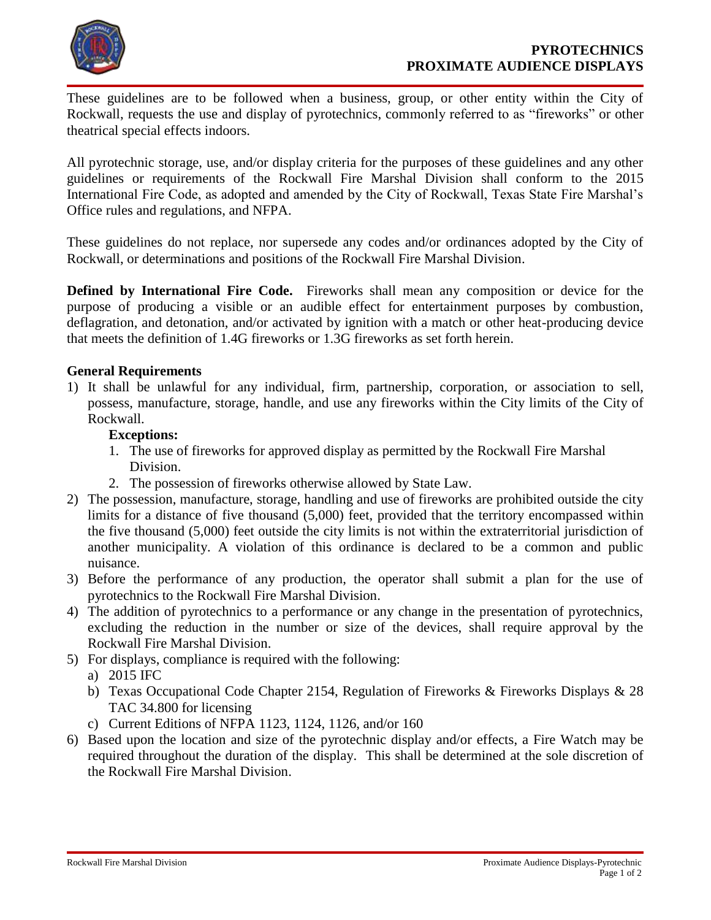

These guidelines are to be followed when a business, group, or other entity within the City of Rockwall, requests the use and display of pyrotechnics, commonly referred to as "fireworks" or other theatrical special effects indoors.

All pyrotechnic storage, use, and/or display criteria for the purposes of these guidelines and any other guidelines or requirements of the Rockwall Fire Marshal Division shall conform to the 2015 International Fire Code, as adopted and amended by the City of Rockwall, Texas State Fire Marshal's Office rules and regulations, and NFPA.

These guidelines do not replace, nor supersede any codes and/or ordinances adopted by the City of Rockwall, or determinations and positions of the Rockwall Fire Marshal Division.

**Defined by International Fire Code.** Fireworks shall mean any composition or device for the purpose of producing a visible or an audible effect for entertainment purposes by combustion, deflagration, and detonation, and/or activated by ignition with a match or other heat-producing device that meets the definition of 1.4G fireworks or 1.3G fireworks as set forth herein.

## **General Requirements**

1) It shall be unlawful for any individual, firm, partnership, corporation, or association to sell, possess, manufacture, storage, handle, and use any fireworks within the City limits of the City of Rockwall.

## **Exceptions:**

- 1. The use of fireworks for approved display as permitted by the Rockwall Fire Marshal Division.
- 2. The possession of fireworks otherwise allowed by State Law.
- 2) The possession, manufacture, storage, handling and use of fireworks are prohibited outside the city limits for a distance of five thousand (5,000) feet, provided that the territory encompassed within the five thousand (5,000) feet outside the city limits is not within the extraterritorial jurisdiction of another municipality. A violation of this ordinance is declared to be a common and public nuisance.
- 3) Before the performance of any production, the operator shall submit a plan for the use of pyrotechnics to the Rockwall Fire Marshal Division.
- 4) The addition of pyrotechnics to a performance or any change in the presentation of pyrotechnics, excluding the reduction in the number or size of the devices, shall require approval by the Rockwall Fire Marshal Division.
- 5) For displays, compliance is required with the following:
	- a) 2015 IFC
	- b) Texas Occupational Code Chapter 2154, Regulation of Fireworks & Fireworks Displays & 28 TAC 34.800 for licensing
	- c) Current Editions of NFPA 1123, 1124, 1126, and/or 160
- 6) Based upon the location and size of the pyrotechnic display and/or effects, a Fire Watch may be required throughout the duration of the display. This shall be determined at the sole discretion of the Rockwall Fire Marshal Division.